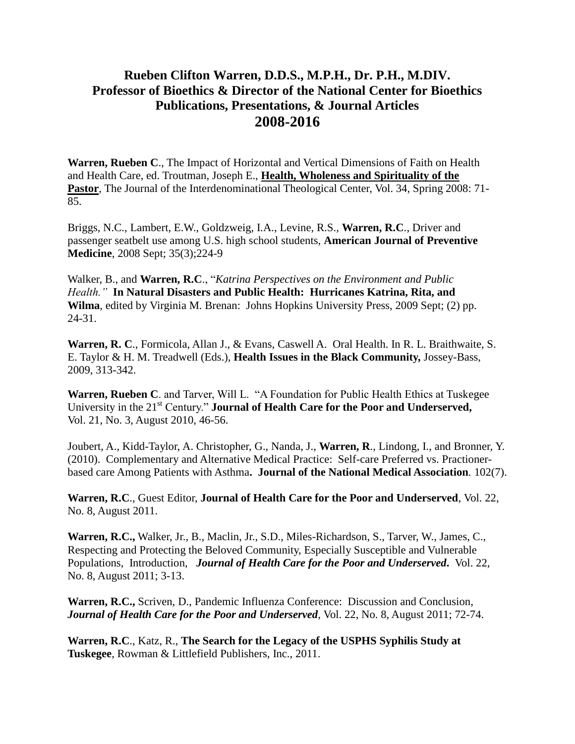## **Rueben Clifton Warren, D.D.S., M.P.H., Dr. P.H., M.DIV. Professor of Bioethics & Director of the National Center for Bioethics Publications, Presentations, & Journal Articles 2008-2016**

**Warren, Rueben C**., The Impact of Horizontal and Vertical Dimensions of Faith on Health and Health Care, ed. Troutman, Joseph E., **Health, Wholeness and Spirituality of the**  Pastor, The Journal of the Interdenominational Theological Center, Vol. 34, Spring 2008: 71-85.

Briggs, N.C., Lambert, E.W., Goldzweig, I.A., Levine, R.S., **Warren, R.C**., Driver and passenger seatbelt use among U.S. high school students, **American Journal of Preventive Medicine**, 2008 Sept; 35(3);224-9

Walker, B., and **Warren, R.C**., "*Katrina Perspectives on the Environment and Public Health."* **In Natural Disasters and Public Health: Hurricanes Katrina, Rita, and Wilma**, edited by Virginia M. Brenan: Johns Hopkins University Press, 2009 Sept; (2) pp. 24-31.

**Warren, R. C**., Formicola, Allan J., & Evans, Caswell A. Oral Health. In R. L. Braithwaite, S. E. Taylor & H. M. Treadwell (Eds.), **Health Issues in the Black Community,** Jossey-Bass, 2009, 313-342.

**Warren, Rueben C**. and Tarver, Will L. "A Foundation for Public Health Ethics at Tuskegee University in the 21<sup>st</sup> Century." **Journal of Health Care for the Poor and Underserved,** Vol. 21, No. 3, August 2010, 46-56.

Joubert, A., Kidd-Taylor, A. Christopher, G., Nanda, J., **Warren, R**., Lindong, I., and Bronner, Y. (2010). Complementary and Alternative Medical Practice: Self-care Preferred vs. Practionerbased care Among Patients with Asthma**. Journal of the National Medical Association***.* 102(7).

**Warren, R.C**., Guest Editor, **Journal of Health Care for the Poor and Underserved**, Vol. 22, No. 8, August 2011.

**Warren, R.C.,** Walker, Jr., B., Maclin, Jr., S.D., Miles-Richardson, S., Tarver, W., James, C., Respecting and Protecting the Beloved Community, Especially Susceptible and Vulnerable Populations, Introduction, *Journal of Health Care for the Poor and Underserved***.** Vol. 22, No. 8, August 2011; 3-13.

**Warren, R.C.,** Scriven, D., Pandemic Influenza Conference: Discussion and Conclusion, *Journal of Health Care for the Poor and Underserved*, Vol. 22, No. 8, August 2011; 72-74.

**Warren, R.C**., Katz, R., **The Search for the Legacy of the USPHS Syphilis Study at Tuskegee**, Rowman & Littlefield Publishers, Inc., 2011.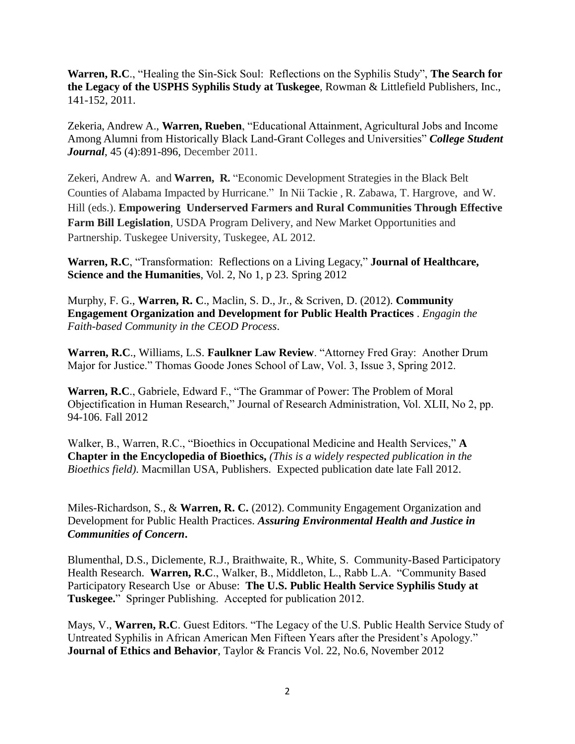**Warren, R.C**., "Healing the Sin-Sick Soul: Reflections on the Syphilis Study", **The Search for the Legacy of the USPHS Syphilis Study at Tuskegee**, Rowman & Littlefield Publishers, Inc., 141-152, 2011.

Zekeria, Andrew A., **Warren, Rueben**, "Educational Attainment, Agricultural Jobs and Income Among Alumni from Historically Black Land-Grant Colleges and Universities" *College Student Journal*, 45 (4):891-896, December 2011.

Zekeri, Andrew A. and **Warren, R.** "Economic Development Strategies in the Black Belt Counties of Alabama Impacted by Hurricane." In Nii Tackie , R. Zabawa, T. Hargrove, and W. Hill (eds.). **Empowering Underserved Farmers and Rural Communities Through Effective Farm Bill Legislation**, USDA Program Delivery, and New Market Opportunities and Partnership. Tuskegee University, Tuskegee, AL 2012.

**Warren, R.C**, "Transformation: Reflections on a Living Legacy," **Journal of Healthcare, Science and the Humanities**, Vol. 2, No 1, p 23. Spring 2012

Murphy, F. G., **Warren, R. C**., Maclin, S. D., Jr., & Scriven, D. (2012). **Community Engagement Organization and Development for Public Health Practices** . *Engagin the Faith-based Community in the CEOD Process*.

**Warren, R.C**., Williams, L.S. **Faulkner Law Review**. "Attorney Fred Gray: Another Drum Major for Justice." Thomas Goode Jones School of Law, Vol. 3, Issue 3, Spring 2012.

**Warren, R.C**., Gabriele, Edward F., "The Grammar of Power: The Problem of Moral Objectification in Human Research," Journal of Research Administration, Vol. XLII, No 2, pp. 94-106. Fall 2012

Walker, B., Warren, R.C., "Bioethics in Occupational Medicine and Health Services," **A Chapter in the Encyclopedia of Bioethics,** *(This is a widely respected publication in the Bioethics field)*. Macmillan USA, Publishers. Expected publication date late Fall 2012.

Miles-Richardson, S., & **Warren, R. C.** (2012). Community Engagement Organization and Development for Public Health Practices. *Assuring Environmental Health and Justice in Communities of Concern***.** 

Blumenthal, D.S., Diclemente, R.J., Braithwaite, R., White, S. Community-Based Participatory Health Research. **Warren, R.C**., Walker, B., Middleton, L., Rabb L.A. "Community Based Participatory Research Use or Abuse: **The U.S. Public Health Service Syphilis Study at Tuskegee.**" Springer Publishing. Accepted for publication 2012.

Mays, V., **Warren, R.C**. Guest Editors. "The Legacy of the U.S. Public Health Service Study of Untreated Syphilis in African American Men Fifteen Years after the President's Apology." **Journal of Ethics and Behavior**, Taylor & Francis Vol. 22, No.6, November 2012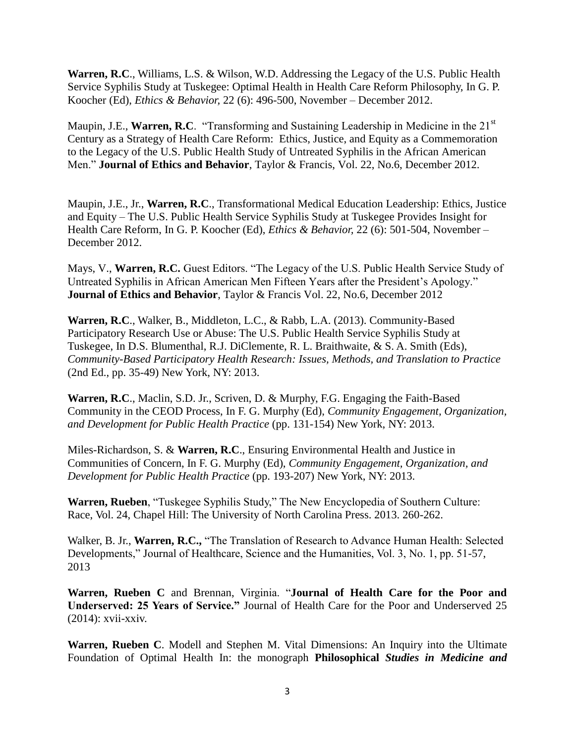**Warren, R.C**., Williams, L.S. & Wilson, W.D. Addressing the Legacy of the U.S. Public Health Service Syphilis Study at Tuskegee: Optimal Health in Health Care Reform Philosophy, In G. P. Koocher (Ed), *Ethics & Behavior,* 22 (6): 496-500, November – December 2012.

Maupin, J.E., **Warren, R.C**. "Transforming and Sustaining Leadership in Medicine in the 21<sup>st</sup> Century as a Strategy of Health Care Reform: Ethics, Justice, and Equity as a Commemoration to the Legacy of the U.S. Public Health Study of Untreated Syphilis in the African American Men." **Journal of Ethics and Behavior**, Taylor & Francis, Vol. 22, No.6, December 2012.

Maupin, J.E., Jr., **Warren, R.C**., Transformational Medical Education Leadership: Ethics, Justice and Equity – The U.S. Public Health Service Syphilis Study at Tuskegee Provides Insight for Health Care Reform, In G. P. Koocher (Ed), *Ethics & Behavior,* 22 (6): 501-504, November – December 2012.

Mays, V., **Warren, R.C.** Guest Editors. "The Legacy of the U.S. Public Health Service Study of Untreated Syphilis in African American Men Fifteen Years after the President's Apology." **Journal of Ethics and Behavior**, Taylor & Francis Vol. 22, No.6, December 2012

**Warren, R.C**., Walker, B., Middleton, L.C., & Rabb, L.A. (2013). Community-Based Participatory Research Use or Abuse: The U.S. Public Health Service Syphilis Study at Tuskegee, In D.S. Blumenthal, R.J. DiClemente, R. L. Braithwaite, & S. A. Smith (Eds), *Community-Based Participatory Health Research: Issues, Methods, and Translation to Practice*  (2nd Ed., pp. 35-49) New York, NY: 2013.

**Warren, R.C**., Maclin, S.D. Jr., Scriven, D. & Murphy, F.G. Engaging the Faith-Based Community in the CEOD Process, In F. G. Murphy (Ed), *Community Engagement, Organization, and Development for Public Health Practice* (pp. 131-154) New York, NY: 2013.

Miles-Richardson, S. & **Warren, R.C**., Ensuring Environmental Health and Justice in Communities of Concern, In F. G. Murphy (Ed), *Community Engagement, Organization, and Development for Public Health Practice* (pp. 193-207) New York, NY: 2013.

**Warren, Rueben**, "Tuskegee Syphilis Study," The New Encyclopedia of Southern Culture: Race, Vol. 24, Chapel Hill: The University of North Carolina Press. 2013. 260-262.

Walker, B. Jr., **Warren, R.C.,** "The Translation of Research to Advance Human Health: Selected Developments," Journal of Healthcare, Science and the Humanities, Vol. 3, No. 1, pp. 51-57, 2013

**Warren, Rueben C** and Brennan, Virginia. "**Journal of Health Care for the Poor and Underserved: 25 Years of Service."** Journal of Health Care for the Poor and Underserved 25 (2014): xvii-xxiv.

**Warren, Rueben C**. Modell and Stephen M. Vital Dimensions: An Inquiry into the Ultimate Foundation of Optimal Health In: the monograph **Philosophical** *Studies in Medicine and*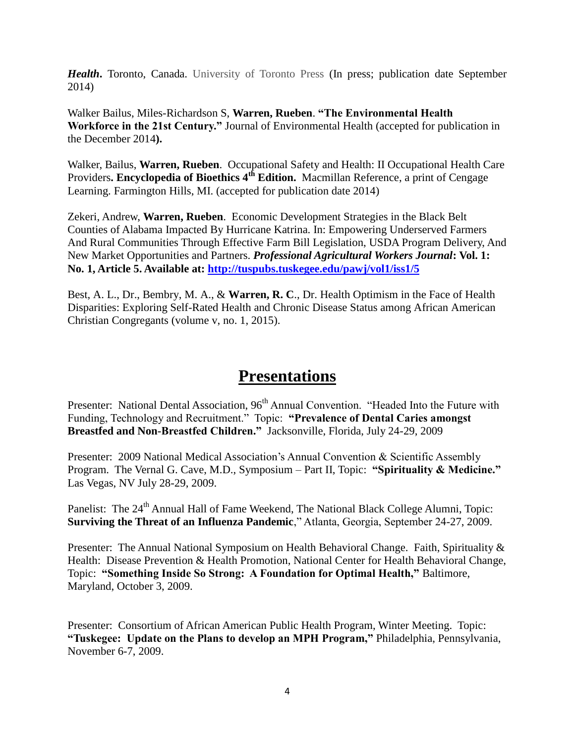**Health**. Toronto, Canada. University of Toronto Press (In press; publication date September 2014)

Walker Bailus, Miles-Richardson S, **Warren, Rueben**. **"The Environmental Health Workforce in the 21st Century."** Journal of Environmental Health (accepted for publication in the December 2014**).**

Walker, Bailus, **Warren, Rueben**. Occupational Safety and Health: II Occupational Health Care Providers**. Encyclopedia of Bioethics 4th Edition.** Macmillan Reference, a print of Cengage Learning. Farmington Hills, MI. (accepted for publication date 2014)

Zekeri, Andrew, **Warren, Rueben**. Economic Development Strategies in the Black Belt Counties of Alabama Impacted By Hurricane Katrina. In: Empowering Underserved Farmers And Rural Communities Through Effective Farm Bill Legislation, USDA Program Delivery, And New Market Opportunities and Partners. *Professional Agricultural Workers Journal***: Vol. 1: No. 1, Article 5. Available at:<http://tuspubs.tuskegee.edu/pawj/vol1/iss1/5>**

Best, A. L., Dr., Bembry, M. A., & **Warren, R. C**., Dr. Health Optimism in the Face of Health Disparities: Exploring Self-Rated Health and Chronic Disease Status among African American Christian Congregants (volume v, no. 1, 2015).

## **Presentations**

Presenter: National Dental Association, 96<sup>th</sup> Annual Convention. "Headed Into the Future with Funding, Technology and Recruitment." Topic: **"Prevalence of Dental Caries amongst Breastfed and Non-Breastfed Children."** Jacksonville, Florida, July 24-29, 2009

Presenter: 2009 National Medical Association's Annual Convention & Scientific Assembly Program. The Vernal G. Cave, M.D., Symposium – Part II, Topic: **"Spirituality & Medicine."** Las Vegas, NV July 28-29, 2009.

Panelist: The 24<sup>th</sup> Annual Hall of Fame Weekend, The National Black College Alumni, Topic: **Surviving the Threat of an Influenza Pandemic**," Atlanta, Georgia, September 24-27, 2009.

Presenter: The Annual National Symposium on Health Behavioral Change. Faith, Spirituality & Health: Disease Prevention & Health Promotion, National Center for Health Behavioral Change, Topic: **"Something Inside So Strong: A Foundation for Optimal Health,"** Baltimore, Maryland, October 3, 2009.

Presenter: Consortium of African American Public Health Program, Winter Meeting. Topic: **"Tuskegee: Update on the Plans to develop an MPH Program,"** Philadelphia, Pennsylvania, November 6-7, 2009.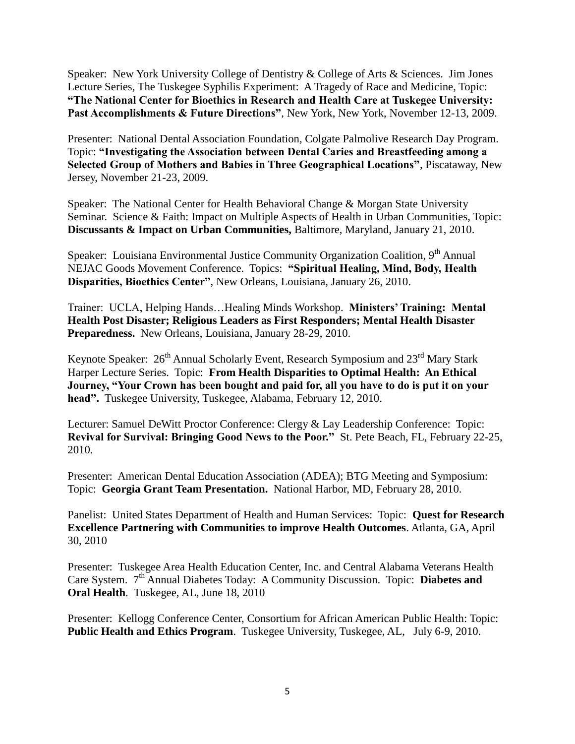Speaker: New York University College of Dentistry & College of Arts & Sciences. Jim Jones Lecture Series, The Tuskegee Syphilis Experiment: A Tragedy of Race and Medicine, Topic: **"The National Center for Bioethics in Research and Health Care at Tuskegee University: Past Accomplishments & Future Directions"**, New York, New York, November 12-13, 2009.

Presenter: National Dental Association Foundation, Colgate Palmolive Research Day Program. Topic: **"Investigating the Association between Dental Caries and Breastfeeding among a Selected Group of Mothers and Babies in Three Geographical Locations"**, Piscataway, New Jersey, November 21-23, 2009.

Speaker: The National Center for Health Behavioral Change & Morgan State University Seminar. Science & Faith: Impact on Multiple Aspects of Health in Urban Communities, Topic: **Discussants & Impact on Urban Communities,** Baltimore, Maryland, January 21, 2010.

Speaker: Louisiana Environmental Justice Community Organization Coalition, 9<sup>th</sup> Annual NEJAC Goods Movement Conference. Topics: **"Spiritual Healing, Mind, Body, Health Disparities, Bioethics Center"**, New Orleans, Louisiana, January 26, 2010.

Trainer: UCLA, Helping Hands…Healing Minds Workshop. **Ministers' Training: Mental Health Post Disaster; Religious Leaders as First Responders; Mental Health Disaster Preparedness.** New Orleans, Louisiana, January 28-29, 2010.

Keynote Speaker:  $26<sup>th</sup>$  Annual Scholarly Event, Research Symposium and  $23<sup>rd</sup>$  Mary Stark Harper Lecture Series. Topic: **From Health Disparities to Optimal Health: An Ethical Journey, "Your Crown has been bought and paid for, all you have to do is put it on your head".** Tuskegee University, Tuskegee, Alabama, February 12, 2010.

Lecturer: Samuel DeWitt Proctor Conference: Clergy & Lay Leadership Conference: Topic: **Revival for Survival: Bringing Good News to the Poor."** St. Pete Beach, FL, February 22-25, 2010.

Presenter: American Dental Education Association (ADEA); BTG Meeting and Symposium: Topic: **Georgia Grant Team Presentation.** National Harbor, MD, February 28, 2010.

Panelist: United States Department of Health and Human Services: Topic: **Quest for Research Excellence Partnering with Communities to improve Health Outcomes**. Atlanta, GA, April 30, 2010

Presenter: Tuskegee Area Health Education Center, Inc. and Central Alabama Veterans Health Care System. 7th Annual Diabetes Today: A Community Discussion. Topic: **Diabetes and Oral Health**. Tuskegee, AL, June 18, 2010

Presenter: Kellogg Conference Center, Consortium for African American Public Health: Topic: **Public Health and Ethics Program**. Tuskegee University, Tuskegee, AL, July 6-9, 2010.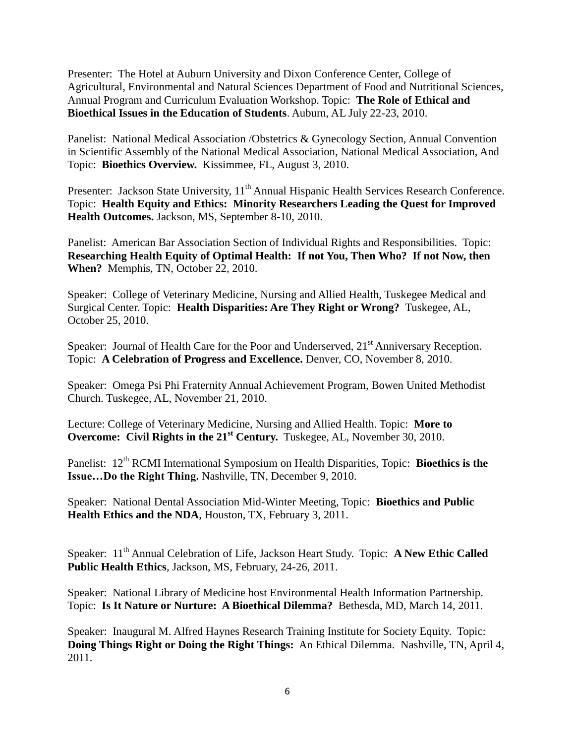Presenter: The Hotel at Auburn University and Dixon Conference Center, College of Agricultural, Environmental and Natural Sciences Department of Food and Nutritional Sciences, Annual Program and Curriculum Evaluation Workshop. Topic: **The Role of Ethical and Bioethical Issues in the Education of Students**. Auburn, AL July 22-23, 2010.

Panelist: National Medical Association /Obstetrics & Gynecology Section, Annual Convention in Scientific Assembly of the National Medical Association, National Medical Association, And Topic: **Bioethics Overview.** Kissimmee, FL, August 3, 2010.

Presenter: Jackson State University, 11<sup>th</sup> Annual Hispanic Health Services Research Conference. Topic: **Health Equity and Ethics: Minority Researchers Leading the Quest for Improved Health Outcomes.** Jackson, MS, September 8-10, 2010.

Panelist: American Bar Association Section of Individual Rights and Responsibilities. Topic: **Researching Health Equity of Optimal Health: If not You, Then Who? If not Now, then When?** Memphis, TN, October 22, 2010.

Speaker: College of Veterinary Medicine, Nursing and Allied Health, Tuskegee Medical and Surgical Center. Topic: **Health Disparities: Are They Right or Wrong?** Tuskegee, AL, October 25, 2010.

Speaker: Journal of Health Care for the Poor and Underserved,  $21<sup>st</sup>$  Anniversary Reception. Topic: **A Celebration of Progress and Excellence.** Denver, CO, November 8, 2010.

Speaker: Omega Psi Phi Fraternity Annual Achievement Program, Bowen United Methodist Church. Tuskegee, AL, November 21, 2010.

Lecture: College of Veterinary Medicine, Nursing and Allied Health. Topic: **More to Overcome: Civil Rights in the 21<sup>st</sup> Century.** Tuskegee, AL, November 30, 2010.

Panelist: 12<sup>th</sup> RCMI International Symposium on Health Disparities, Topic: **Bioethics is the Issue…Do the Right Thing.** Nashville, TN, December 9, 2010.

Speaker: National Dental Association Mid-Winter Meeting, Topic: **Bioethics and Public Health Ethics and the NDA**, Houston, TX, February 3, 2011.

Speaker: 11<sup>th</sup> Annual Celebration of Life, Jackson Heart Study. Topic: **A New Ethic Called Public Health Ethics**, Jackson, MS, February, 24-26, 2011.

Speaker: National Library of Medicine host Environmental Health Information Partnership. Topic: **Is It Nature or Nurture: A Bioethical Dilemma?** Bethesda, MD, March 14, 2011.

Speaker: Inaugural M. Alfred Haynes Research Training Institute for Society Equity. Topic: **Doing Things Right or Doing the Right Things:** An Ethical Dilemma. Nashville, TN, April 4, 2011.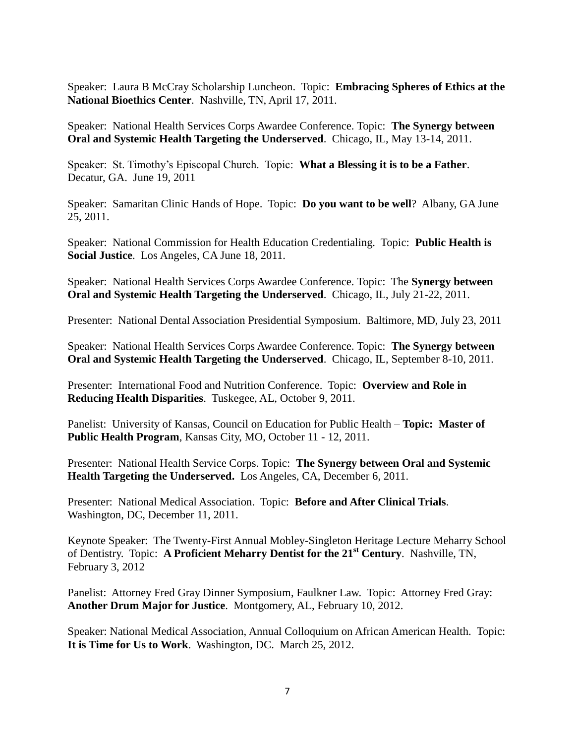Speaker: Laura B McCray Scholarship Luncheon. Topic: **Embracing Spheres of Ethics at the National Bioethics Center**. Nashville, TN, April 17, 2011.

Speaker: National Health Services Corps Awardee Conference. Topic: **The Synergy between Oral and Systemic Health Targeting the Underserved**. Chicago, IL, May 13-14, 2011.

Speaker: St. Timothy's Episcopal Church. Topic: **What a Blessing it is to be a Father**. Decatur, GA. June 19, 2011

Speaker: Samaritan Clinic Hands of Hope. Topic: **Do you want to be well**? Albany, GA June 25, 2011.

Speaker: National Commission for Health Education Credentialing. Topic: **Public Health is Social Justice**. Los Angeles, CA June 18, 2011.

Speaker: National Health Services Corps Awardee Conference. Topic: The **Synergy between Oral and Systemic Health Targeting the Underserved**. Chicago, IL, July 21-22, 2011.

Presenter: National Dental Association Presidential Symposium. Baltimore, MD, July 23, 2011

Speaker: National Health Services Corps Awardee Conference. Topic: **The Synergy between Oral and Systemic Health Targeting the Underserved**. Chicago, IL, September 8-10, 2011.

Presenter: International Food and Nutrition Conference. Topic: **Overview and Role in Reducing Health Disparities**. Tuskegee, AL, October 9, 2011.

Panelist: University of Kansas, Council on Education for Public Health – **Topic: Master of Public Health Program**, Kansas City, MO, October 11 - 12, 2011.

Presenter: National Health Service Corps. Topic: **The Synergy between Oral and Systemic Health Targeting the Underserved.** Los Angeles, CA, December 6, 2011.

Presenter: National Medical Association. Topic: **Before and After Clinical Trials**. Washington, DC, December 11, 2011.

Keynote Speaker: The Twenty-First Annual Mobley-Singleton Heritage Lecture Meharry School of Dentistry. Topic: **A Proficient Meharry Dentist for the 21st Century**. Nashville, TN, February 3, 2012

Panelist: Attorney Fred Gray Dinner Symposium, Faulkner Law. Topic: Attorney Fred Gray: **Another Drum Major for Justice**. Montgomery, AL, February 10, 2012.

Speaker: National Medical Association, Annual Colloquium on African American Health. Topic: **It is Time for Us to Work**. Washington, DC. March 25, 2012.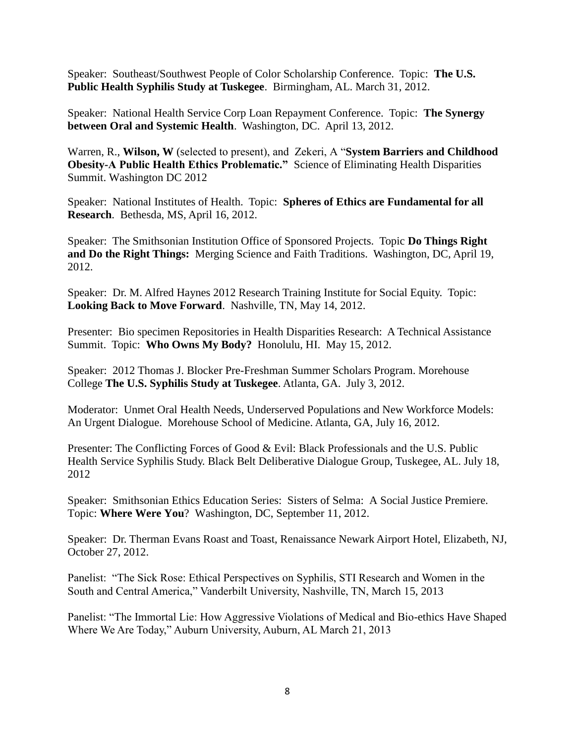Speaker: Southeast/Southwest People of Color Scholarship Conference. Topic: **The U.S. Public Health Syphilis Study at Tuskegee**. Birmingham, AL. March 31, 2012.

Speaker: National Health Service Corp Loan Repayment Conference. Topic: **The Synergy between Oral and Systemic Health**. Washington, DC. April 13, 2012.

Warren, R., **Wilson, W** (selected to present), and Zekeri, A "**System Barriers and Childhood Obesity-A Public Health Ethics Problematic."** Science of Eliminating Health Disparities Summit. Washington DC 2012

Speaker: National Institutes of Health. Topic: **Spheres of Ethics are Fundamental for all Research**. Bethesda, MS, April 16, 2012.

Speaker: The Smithsonian Institution Office of Sponsored Projects. Topic **Do Things Right and Do the Right Things:** Merging Science and Faith Traditions. Washington, DC, April 19, 2012.

Speaker: Dr. M. Alfred Haynes 2012 Research Training Institute for Social Equity. Topic: **Looking Back to Move Forward**. Nashville, TN, May 14, 2012.

Presenter: Bio specimen Repositories in Health Disparities Research: A Technical Assistance Summit. Topic: **Who Owns My Body?** Honolulu, HI. May 15, 2012.

Speaker: 2012 Thomas J. Blocker Pre-Freshman Summer Scholars Program. Morehouse College **The U.S. Syphilis Study at Tuskegee**. Atlanta, GA. July 3, 2012.

Moderator: Unmet Oral Health Needs, Underserved Populations and New Workforce Models: An Urgent Dialogue. Morehouse School of Medicine. Atlanta, GA, July 16, 2012.

Presenter: The Conflicting Forces of Good & Evil: Black Professionals and the U.S. Public Health Service Syphilis Study. Black Belt Deliberative Dialogue Group, Tuskegee, AL. July 18, 2012

Speaker: Smithsonian Ethics Education Series: Sisters of Selma: A Social Justice Premiere. Topic: **Where Were You**? Washington, DC, September 11, 2012.

Speaker: Dr. Therman Evans Roast and Toast, Renaissance Newark Airport Hotel, Elizabeth, NJ, October 27, 2012.

Panelist: "The Sick Rose: Ethical Perspectives on Syphilis, STI Research and Women in the South and Central America," Vanderbilt University, Nashville, TN, March 15, 2013

Panelist: "The Immortal Lie: How Aggressive Violations of Medical and Bio-ethics Have Shaped Where We Are Today," Auburn University, Auburn, AL March 21, 2013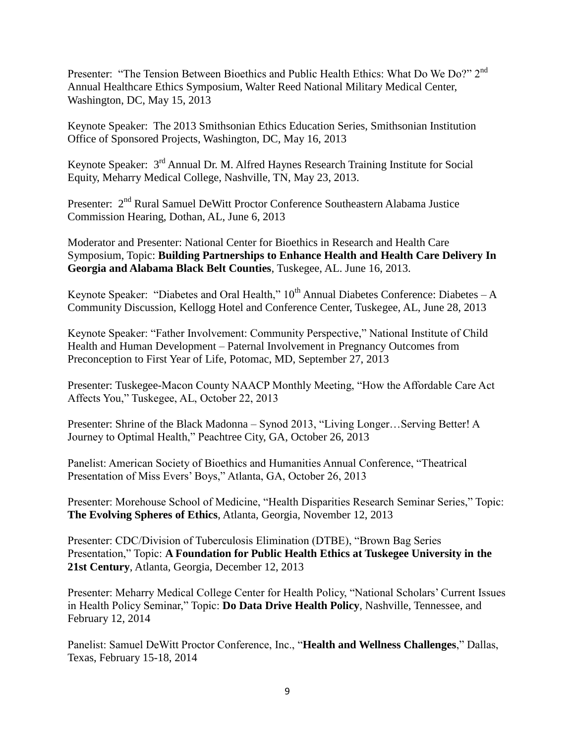Presenter: "The Tension Between Bioethics and Public Health Ethics: What Do We Do?" 2<sup>nd</sup> Annual Healthcare Ethics Symposium, Walter Reed National Military Medical Center, Washington, DC, May 15, 2013

Keynote Speaker: The 2013 Smithsonian Ethics Education Series, Smithsonian Institution Office of Sponsored Projects, Washington, DC, May 16, 2013

Keynote Speaker: 3rd Annual Dr. M. Alfred Haynes Research Training Institute for Social Equity, Meharry Medical College, Nashville, TN, May 23, 2013.

Presenter: 2<sup>nd</sup> Rural Samuel DeWitt Proctor Conference Southeastern Alabama Justice Commission Hearing, Dothan, AL, June 6, 2013

Moderator and Presenter: National Center for Bioethics in Research and Health Care Symposium, Topic: **Building Partnerships to Enhance Health and Health Care Delivery In Georgia and Alabama Black Belt Counties**, Tuskegee, AL. June 16, 2013.

Keynote Speaker: "Diabetes and Oral Health,"  $10^{th}$  Annual Diabetes Conference: Diabetes – A Community Discussion, Kellogg Hotel and Conference Center, Tuskegee, AL, June 28, 2013

Keynote Speaker: "Father Involvement: Community Perspective," National Institute of Child Health and Human Development – Paternal Involvement in Pregnancy Outcomes from Preconception to First Year of Life, Potomac, MD, September 27, 2013

Presenter: Tuskegee-Macon County NAACP Monthly Meeting, "How the Affordable Care Act Affects You," Tuskegee, AL, October 22, 2013

Presenter: Shrine of the Black Madonna – Synod 2013, "Living Longer…Serving Better! A Journey to Optimal Health," Peachtree City, GA, October 26, 2013

Panelist: American Society of Bioethics and Humanities Annual Conference, "Theatrical Presentation of Miss Evers' Boys," Atlanta, GA, October 26, 2013

Presenter: Morehouse School of Medicine, "Health Disparities Research Seminar Series," Topic: **The Evolving Spheres of Ethics**, Atlanta, Georgia, November 12, 2013

Presenter: CDC/Division of Tuberculosis Elimination (DTBE), "Brown Bag Series Presentation," Topic: **A Foundation for Public Health Ethics at Tuskegee University in the 21st Century**, Atlanta, Georgia, December 12, 2013

Presenter: Meharry Medical College Center for Health Policy, "National Scholars' Current Issues in Health Policy Seminar," Topic: **Do Data Drive Health Policy**, Nashville, Tennessee, and February 12, 2014

Panelist: Samuel DeWitt Proctor Conference, Inc., "**Health and Wellness Challenges**," Dallas, Texas, February 15-18, 2014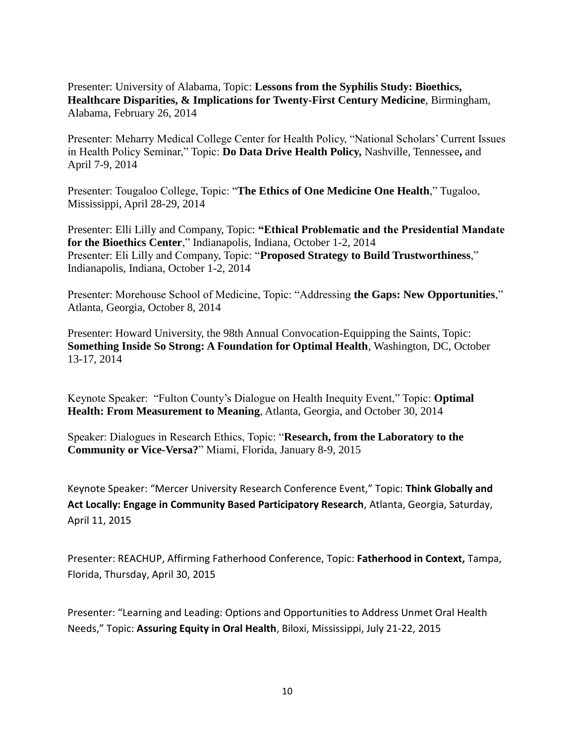Presenter: University of Alabama, Topic: **Lessons from the Syphilis Study: Bioethics, Healthcare Disparities, & Implications for Twenty-First Century Medicine**, Birmingham, Alabama, February 26, 2014

Presenter: Meharry Medical College Center for Health Policy, "National Scholars' Current Issues in Health Policy Seminar," Topic: **Do Data Drive Health Policy,** Nashville, Tennessee**,** and April 7-9, 2014

Presenter: Tougaloo College, Topic: "**The Ethics of One Medicine One Health**," Tugaloo, Mississippi, April 28-29, 2014

Presenter: Elli Lilly and Company, Topic: **"Ethical Problematic and the Presidential Mandate for the Bioethics Center**," Indianapolis, Indiana, October 1-2, 2014 Presenter: Eli Lilly and Company, Topic: "**Proposed Strategy to Build Trustworthiness**," Indianapolis, Indiana, October 1-2, 2014

Presenter: Morehouse School of Medicine, Topic: "Addressing **the Gaps: New Opportunities**," Atlanta, Georgia, October 8, 2014

Presenter: Howard University, the 98th Annual Convocation-Equipping the Saints, Topic: **Something Inside So Strong: A Foundation for Optimal Health**, Washington, DC, October 13-17, 2014

Keynote Speaker: "Fulton County's Dialogue on Health Inequity Event," Topic: **Optimal Health: From Measurement to Meaning**, Atlanta, Georgia, and October 30, 2014

Speaker: Dialogues in Research Ethics, Topic: "**Research, from the Laboratory to the Community or Vice-Versa?**" Miami, Florida, January 8-9, 2015

Keynote Speaker: "Mercer University Research Conference Event," Topic: **Think Globally and Act Locally: Engage in Community Based Participatory Research**, Atlanta, Georgia, Saturday, April 11, 2015

Presenter: REACHUP, Affirming Fatherhood Conference, Topic: **Fatherhood in Context,** Tampa, Florida, Thursday, April 30, 2015

Presenter: "Learning and Leading: Options and Opportunities to Address Unmet Oral Health Needs," Topic: **Assuring Equity in Oral Health**, Biloxi, Mississippi, July 21-22, 2015